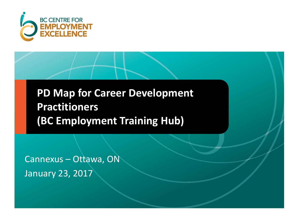

**PD Map for Career Development Practitioners (BC Employment Training Hub)**

Cannexus – Ottawa, ON January 23, 2017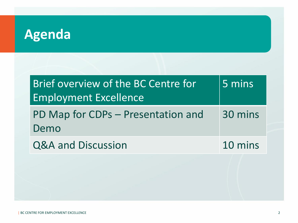# **Agenda**

| Brief overview of the BC Centre for<br><b>Employment Excellence</b> | 5 mins  |
|---------------------------------------------------------------------|---------|
| PD Map for CDPs – Presentation and<br>Demo                          | 30 mins |
| <b>Q&amp;A and Discussion</b>                                       | 10 mins |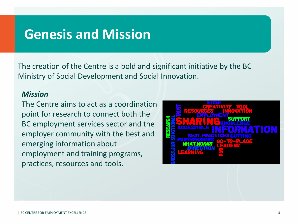### **Genesis and Mission**

The creation of the Centre is a bold and significant initiative by the BC Ministry of Social Development and Social Innovation.

#### *Mission*

The Centre aims to act as a coordination point for research to connect both the BC employment services sector and the employer community with the best and emerging information about employment and training programs, practices, resources and tools.

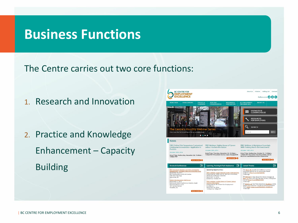### **Business Functions**

The Centre carries out two core functions:

1. Research and Innovation

2. Practice and Knowledge Enhancement – Capacity Building

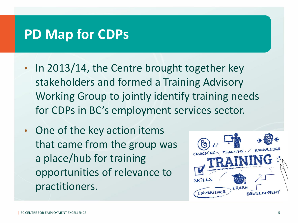## **PD Map for CDPs**

- In 2013/14, the Centre brought together key stakeholders and formed a Training Advisory Working Group to jointly identify training needs for CDPs in BC's employment services sector.
- One of the key action items that came from the group was a place/hub for training opportunities of relevance to practitioners.

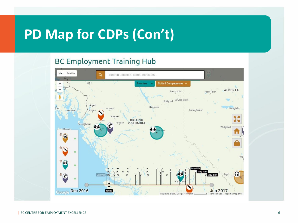# **PD Map for CDPs (Con't)**

#### **BC Employment Training Hub**

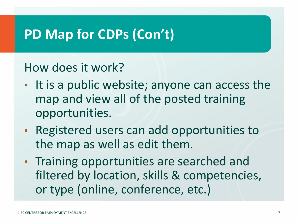# **PD Map for CDPs (Con't)**

### How does it work?

- It is a public website; anyone can access the map and view all of the posted training opportunities.
- Registered users can add opportunities to the map as well as edit them.
- Training opportunities are searched and filtered by location, skills & competencies, or type (online, conference, etc.)